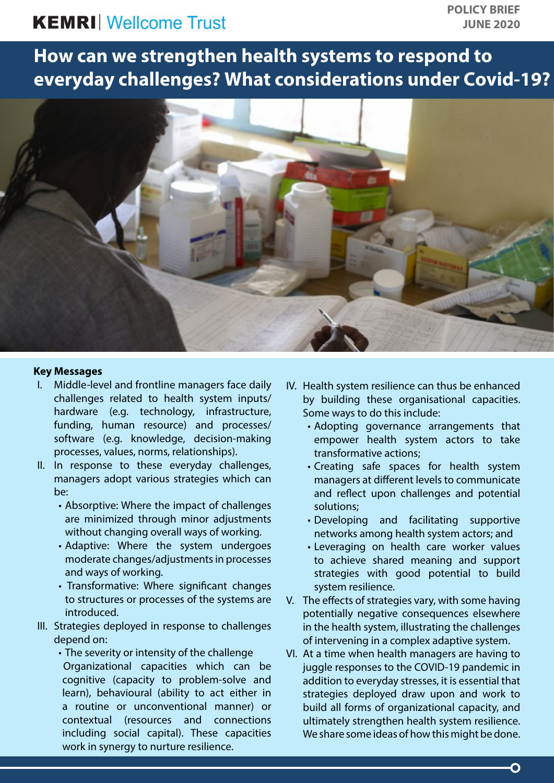# **KEMRI** Wellcome Trust

**How can we strengthen health systems to respond to everyday challenges? What considerations under Covid-19?**



#### **Key Messages**

- I. Middle-level and frontline managers face daily challenges related to health system inputs/ hardware (e.g. technology, infrastructure, funding, human resource) and processes/ software (e.g. knowledge, decision-making processes, values, norms, relationships).
- II. In response to these everyday challenges, managers adopt various strategies which can be:
	- Absorptive: Where the impact of challenges are minimized through minor adjustments without changing overall ways of working.
	- Adaptive: Where the system undergoes moderate changes/adjustments in processes and ways of working.
	- Transformative: Where significant changes to structures or processes of the systems are introduced.
- III. Strategies deployed in response to challenges depend on:
	- The severity or intensity of the challenge Organizational capacities which can be cognitive (capacity to problem-solve and learn), behavioural (ability to act either in a routine or unconventional manner) or contextual (resources and connections including social capital). These capacities work in synergy to nurture resilience.
- IV. Health system resilience can thus be enhanced by building these organisational capacities. Some ways to do this include:
	- Adopting governance arrangements that empower health system actors to take transformative actions;
	- Creating safe spaces for health system managers at different levels to communicate and reflect upon challenges and potential solutions;
	- Developing and facilitating supportive networks among health system actors; and
	- Leveraging on health care worker values to achieve shared meaning and support strategies with good potential to build system resilience.
- V. The effects of strategies vary, with some having potentially negative consequences elsewhere in the health system, illustrating the challenges of intervening in a complex adaptive system.
- VI. At a time when health managers are having to juggle responses to the COVID-19 pandemic in addition to everyday stresses, it is essential that strategies deployed draw upon and work to build all forms of organizational capacity, and ultimately strengthen health system resilience. We share some ideas of how this might be done.

O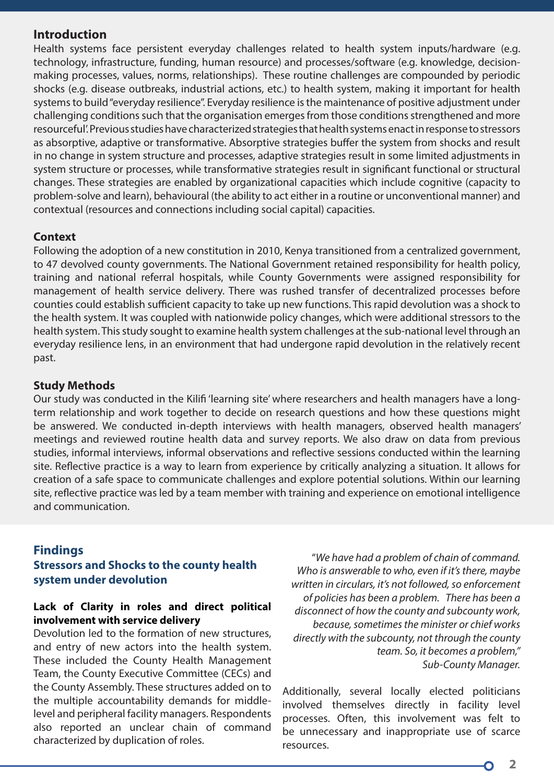#### **Introduction**

Health systems face persistent everyday challenges related to health system inputs/hardware (e.g. technology, infrastructure, funding, human resource) and processes/software (e.g. knowledge, decisionmaking processes, values, norms, relationships). These routine challenges are compounded by periodic shocks (e.g. disease outbreaks, industrial actions, etc.) to health system, making it important for health systems to build "everyday resilience". Everyday resilience is the maintenance of positive adjustment under challenging conditions such that the organisation emerges from those conditions strengthened and more resourceful'. Previous studies have characterized strategies that health systems enact in response to stressors as absorptive, adaptive or transformative. Absorptive strategies buffer the system from shocks and result in no change in system structure and processes, adaptive strategies result in some limited adjustments in system structure or processes, while transformative strategies result in significant functional or structural changes. These strategies are enabled by organizational capacities which include cognitive (capacity to problem-solve and learn), behavioural (the ability to act either in a routine or unconventional manner) and contextual (resources and connections including social capital) capacities.

#### **Context**

Following the adoption of a new constitution in 2010, Kenya transitioned from a centralized government, to 47 devolved county governments. The National Government retained responsibility for health policy, training and national referral hospitals, while County Governments were assigned responsibility for management of health service delivery. There was rushed transfer of decentralized processes before counties could establish sufficient capacity to take up new functions. This rapid devolution was a shock to the health system. It was coupled with nationwide policy changes, which were additional stressors to the health system. This study sought to examine health system challenges at the sub-national level through an everyday resilience lens, in an environment that had undergone rapid devolution in the relatively recent past.

#### **Study Methods**

Our study was conducted in the Kilifi 'learning site' where researchers and health managers have a longterm relationship and work together to decide on research questions and how these questions might be answered. We conducted in-depth interviews with health managers, observed health managers' meetings and reviewed routine health data and survey reports. We also draw on data from previous studies, informal interviews, informal observations and reflective sessions conducted within the learning site. Reflective practice is a way to learn from experience by critically analyzing a situation. It allows for creation of a safe space to communicate challenges and explore potential solutions. Within our learning site, reflective practice was led by a team member with training and experience on emotional intelligence and communication.

# **Findings**

## **Stressors and Shocks to the county health system under devolution**

### **Lack of Clarity in roles and direct political involvement with service delivery**

Devolution led to the formation of new structures, and entry of new actors into the health system. These included the County Health Management Team, the County Executive Committee (CECs) and the County Assembly. These structures added on to the multiple accountability demands for middlelevel and peripheral facility managers. Respondents also reported an unclear chain of command characterized by duplication of roles.

"*We have had a problem of chain of command. Who is answerable to who, even if it's there, maybe written in circulars, it's not followed, so enforcement of policies has been a problem. There has been a disconnect of how the county and subcounty work, because, sometimes the minister or chief works directly with the subcounty, not through the county team. So, it becomes a problem," Sub-County Manager.*

Additionally, several locally elected politicians involved themselves directly in facility level processes. Often, this involvement was felt to be unnecessary and inappropriate use of scarce resources.

**2 3**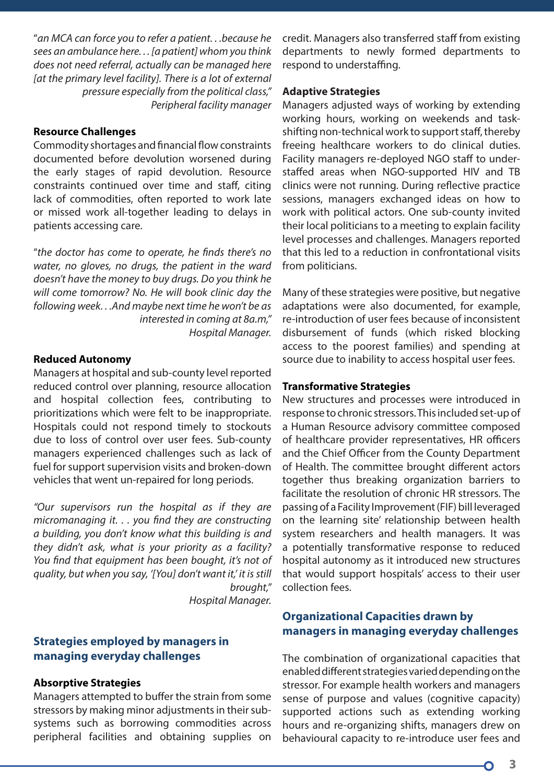"*an MCA can force you to refer a patient. . .because he sees an ambulance here. . . [a patient] whom you think does not need referral, actually can be managed here*  [at the primary level facility]. There is a lot of external *pressure especially from the political class," Peripheral facility manager*

## **Resource Challenges**

Commodity shortages and financial flow constraints documented before devolution worsened during the early stages of rapid devolution. Resource constraints continued over time and staff, citing lack of commodities, often reported to work late or missed work all-together leading to delays in patients accessing care.

"*the doctor has come to operate, he finds there's no water, no gloves, no drugs, the patient in the ward doesn't have the money to buy drugs. Do you think he will come tomorrow? No. He will book clinic day the following week. . .And maybe next time he won't be as interested in coming at 8a.m," Hospital Manager.* 

#### **Reduced Autonomy**

Managers at hospital and sub-county level reported reduced control over planning, resource allocation and hospital collection fees, contributing to prioritizations which were felt to be inappropriate. Hospitals could not respond timely to stockouts due to loss of control over user fees. Sub-county managers experienced challenges such as lack of fuel for support supervision visits and broken-down vehicles that went un-repaired for long periods.

*"Our supervisors run the hospital as if they are micromanaging it. . . you find they are constructing a building, you don't know what this building is and they didn't ask, what is your priority as a facility? You find that equipment has been bought, it's not of quality, but when you say, '[You] don't want it,' it is still brought,"* 

*Hospital Manager.*

## **Strategies employed by managers in managing everyday challenges**

#### **Absorptive Strategies**

Managers attempted to buffer the strain from some stressors by making minor adjustments in their subsystems such as borrowing commodities across peripheral facilities and obtaining supplies on credit. Managers also transferred staff from existing departments to newly formed departments to respond to understaffing.

#### **Adaptive Strategies**

Managers adjusted ways of working by extending working hours, working on weekends and taskshifting non-technical work to support staff, thereby freeing healthcare workers to do clinical duties. Facility managers re-deployed NGO staff to understaffed areas when NGO-supported HIV and TB clinics were not running. During reflective practice sessions, managers exchanged ideas on how to work with political actors. One sub-county invited their local politicians to a meeting to explain facility level processes and challenges. Managers reported that this led to a reduction in confrontational visits from politicians.

Many of these strategies were positive, but negative adaptations were also documented, for example, re-introduction of user fees because of inconsistent disbursement of funds (which risked blocking access to the poorest families) and spending at source due to inability to access hospital user fees.

#### **Transformative Strategies**

New structures and processes were introduced in response to chronic stressors. This included set-up of a Human Resource advisory committee composed of healthcare provider representatives, HR officers and the Chief Officer from the County Department of Health. The committee brought different actors together thus breaking organization barriers to facilitate the resolution of chronic HR stressors. The passing of a Facility Improvement (FIF) bill leveraged on the learning site' relationship between health system researchers and health managers. It was a potentially transformative response to reduced hospital autonomy as it introduced new structures that would support hospitals' access to their user collection fees.

## **Organizational Capacities drawn by managers in managing everyday challenges**

The combination of organizational capacities that enabled different strategies varied depending on the stressor. For example health workers and managers sense of purpose and values (cognitive capacity) supported actions such as extending working hours and re-organizing shifts, managers drew on behavioural capacity to re-introduce user fees and

**3**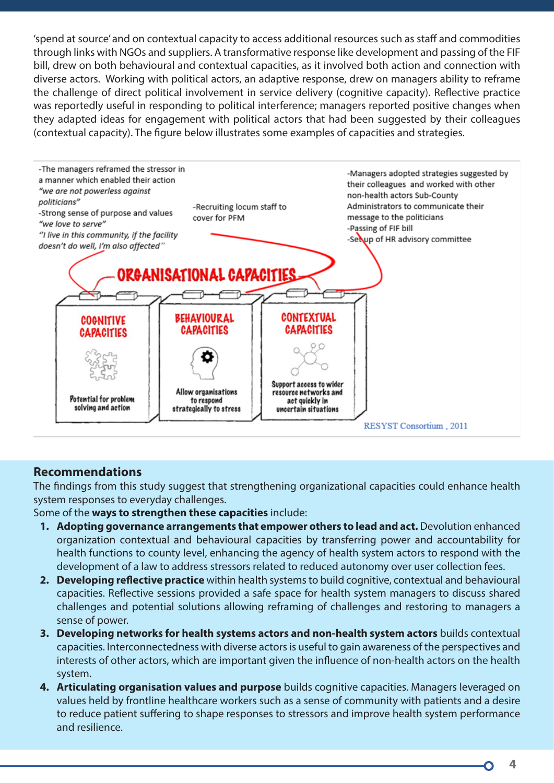'spend at source' and on contextual capacity to access additional resources such as staff and commodities through links with NGOs and suppliers. A transformative response like development and passing of the FIF bill, drew on both behavioural and contextual capacities, as it involved both action and connection with diverse actors. Working with political actors, an adaptive response, drew on managers ability to reframe the challenge of direct political involvement in service delivery (cognitive capacity). Reflective practice was reportedly useful in responding to political interference; managers reported positive changes when they adapted ideas for engagement with political actors that had been suggested by their colleagues (contextual capacity). The figure below illustrates some examples of capacities and strategies.



# **Recommendations**

The findings from this study suggest that strengthening organizational capacities could enhance health system responses to everyday challenges.

Some of the **ways to strengthen these capacities** include:

- **1. Adopting governance arrangements that empower others to lead and act.** Devolution enhanced organization contextual and behavioural capacities by transferring power and accountability for health functions to county level, enhancing the agency of health system actors to respond with the development of a law to address stressors related to reduced autonomy over user collection fees.
- **2. Developing reflective practice** within health systems to build cognitive, contextual and behavioural capacities. Reflective sessions provided a safe space for health system managers to discuss shared challenges and potential solutions allowing reframing of challenges and restoring to managers a sense of power.
- **3. Developing networks for health systems actors and non-health system actors** builds contextual capacities. Interconnectedness with diverse actors is useful to gain awareness of the perspectives and interests of other actors, which are important given the influence of non-health actors on the health system.
- **4. Articulating organisation values and purpose** builds cognitive capacities. Managers leveraged on values held by frontline healthcare workers such as a sense of community with patients and a desire to reduce patient suffering to shape responses to stressors and improve health system performance and resilience.

**4 5**